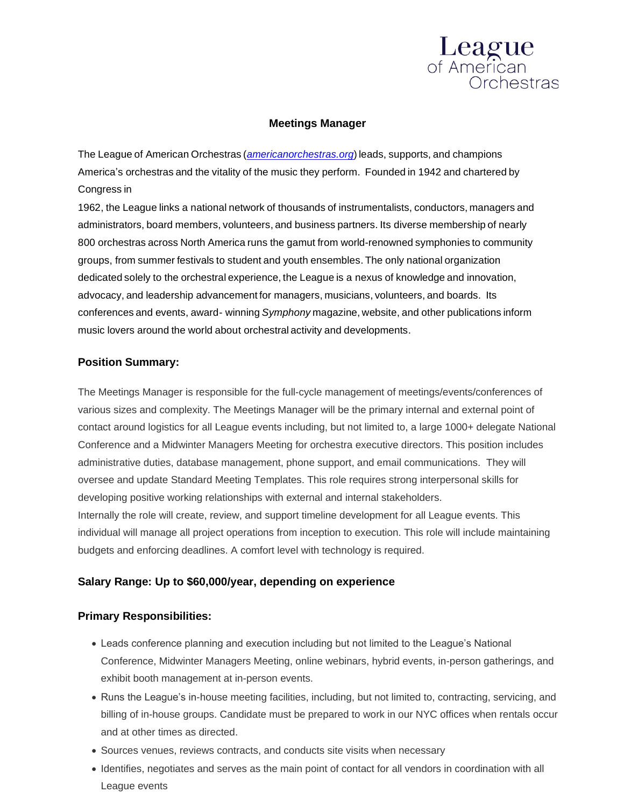

### **Meetings Manager**

The League of American Orchestras (*[americanorchestras.org](http://www.americanorchestras.org/)*) leads, supports, and champions America's orchestras and the vitality of the music they perform. Founded in 1942 and chartered by Congress in

1962, the League links a national network of thousands of instrumentalists, conductors, managers and administrators, board members, volunteers, and business partners. Its diverse membership of nearly 800 orchestras across North America runs the gamut from world-renowned symphonies to community groups, from summer festivals to student and youth ensembles. The only national organization dedicated solely to the orchestral experience, the League is a nexus of knowledge and innovation, advocacy, and leadership advancement for managers, musicians, volunteers, and boards. Its conferences and events, award- winning *Symphony* magazine, website, and other publications inform music lovers around the world about orchestral activity and developments.

### **Position Summary:**

The Meetings Manager is responsible for the full-cycle management of meetings/events/conferences of various sizes and complexity. The Meetings Manager will be the primary internal and external point of contact around logistics for all League events including, but not limited to, a large 1000+ delegate National Conference and a Midwinter Managers Meeting for orchestra executive directors. This position includes administrative duties, database management, phone support, and email communications. They will oversee and update Standard Meeting Templates. This role requires strong interpersonal skills for developing positive working relationships with external and internal stakeholders. Internally the role will create, review, and support timeline development for all League events. This individual will manage all project operations from inception to execution. This role will include maintaining budgets and enforcing deadlines. A comfort level with technology is required.

### **Salary Range: Up to \$60,000/year, depending on experience**

#### **Primary Responsibilities:**

- Leads conference planning and execution including but not limited to the League's National Conference, Midwinter Managers Meeting, online webinars, hybrid events, in-person gatherings, and exhibit booth management at in-person events.
- Runs the League's in-house meeting facilities, including, but not limited to, contracting, servicing, and billing of in-house groups. Candidate must be prepared to work in our NYC offices when rentals occur and at other times as directed.
- Sources venues, reviews contracts, and conducts site visits when necessary
- Identifies, negotiates and serves as the main point of contact for all vendors in coordination with all League events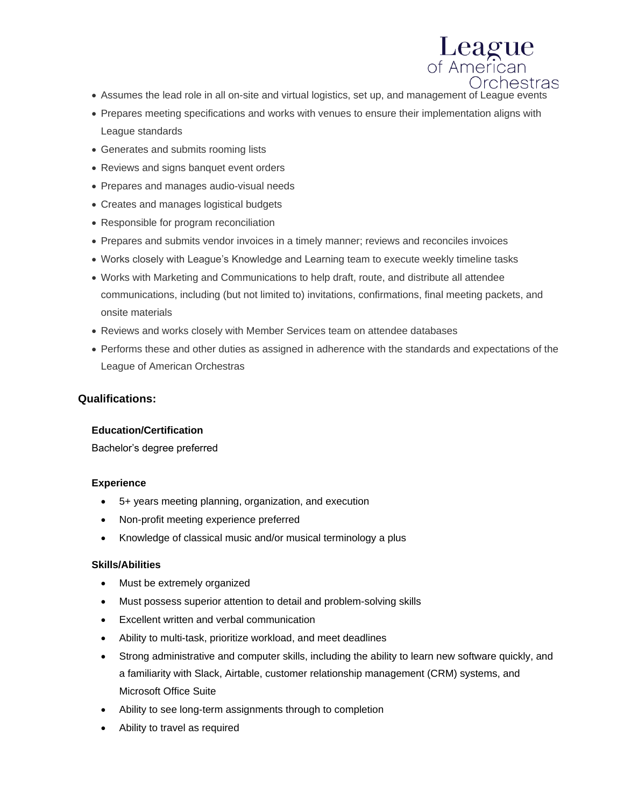)rchestras • Assumes the lead role in all on-site and virtual logistics, set up, and management of League events

League<br>of American

- Prepares meeting specifications and works with venues to ensure their implementation aligns with League standards
- Generates and submits rooming lists
- Reviews and signs banquet event orders
- Prepares and manages audio-visual needs
- Creates and manages logistical budgets
- Responsible for program reconciliation
- Prepares and submits vendor invoices in a timely manner; reviews and reconciles invoices
- Works closely with League's Knowledge and Learning team to execute weekly timeline tasks
- Works with Marketing and Communications to help draft, route, and distribute all attendee communications, including (but not limited to) invitations, confirmations, final meeting packets, and onsite materials
- Reviews and works closely with Member Services team on attendee databases
- Performs these and other duties as assigned in adherence with the standards and expectations of the League of American Orchestras

## **Qualifications:**

#### **Education/Certification**

Bachelor's degree preferred

### **Experience**

- 5+ years meeting planning, organization, and execution
- Non-profit meeting experience preferred
- Knowledge of classical music and/or musical terminology a plus

#### **Skills/Abilities**

- Must be extremely organized
- Must possess superior attention to detail and problem-solving skills
- Excellent written and verbal communication
- Ability to multi-task, prioritize workload, and meet deadlines
- Strong administrative and computer skills, including the ability to learn new software quickly, and a familiarity with Slack, Airtable, customer relationship management (CRM) systems, and Microsoft Office Suite
- Ability to see long-term assignments through to completion
- Ability to travel as required